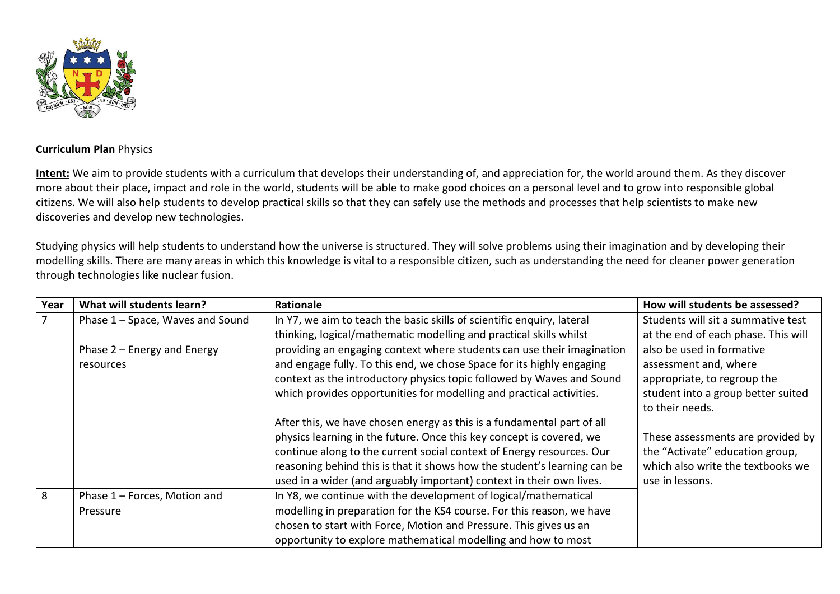

## **Curriculum Plan** Physics

**Intent:** We aim to provide students with a curriculum that develops their understanding of, and appreciation for, the world around them. As they discover more about their place, impact and role in the world, students will be able to make good choices on a personal level and to grow into responsible global citizens. We will also help students to develop practical skills so that they can safely use the methods and processes that help scientists to make new discoveries and develop new technologies.

Studying physics will help students to understand how the universe is structured. They will solve problems using their imagination and by developing their modelling skills. There are many areas in which this knowledge is vital to a responsible citizen, such as understanding the need for cleaner power generation through technologies like nuclear fusion.

| Year | What will students learn?        | <b>Rationale</b>                                                         | How will students be assessed?      |
|------|----------------------------------|--------------------------------------------------------------------------|-------------------------------------|
|      | Phase 1 - Space, Waves and Sound | In Y7, we aim to teach the basic skills of scientific enquiry, lateral   | Students will sit a summative test  |
|      |                                  | thinking, logical/mathematic modelling and practical skills whilst       | at the end of each phase. This will |
|      | Phase $2$ – Energy and Energy    | providing an engaging context where students can use their imagination   | also be used in formative           |
|      | resources                        | and engage fully. To this end, we chose Space for its highly engaging    | assessment and, where               |
|      |                                  | context as the introductory physics topic followed by Waves and Sound    | appropriate, to regroup the         |
|      |                                  | which provides opportunities for modelling and practical activities.     | student into a group better suited  |
|      |                                  |                                                                          | to their needs.                     |
|      |                                  | After this, we have chosen energy as this is a fundamental part of all   |                                     |
|      |                                  | physics learning in the future. Once this key concept is covered, we     | These assessments are provided by   |
|      |                                  | continue along to the current social context of Energy resources. Our    | the "Activate" education group,     |
|      |                                  | reasoning behind this is that it shows how the student's learning can be | which also write the textbooks we   |
|      |                                  | used in a wider (and arguably important) context in their own lives.     | use in lessons.                     |
| 8    | Phase 1 - Forces, Motion and     | In Y8, we continue with the development of logical/mathematical          |                                     |
|      | Pressure                         | modelling in preparation for the KS4 course. For this reason, we have    |                                     |
|      |                                  | chosen to start with Force, Motion and Pressure. This gives us an        |                                     |
|      |                                  | opportunity to explore mathematical modelling and how to most            |                                     |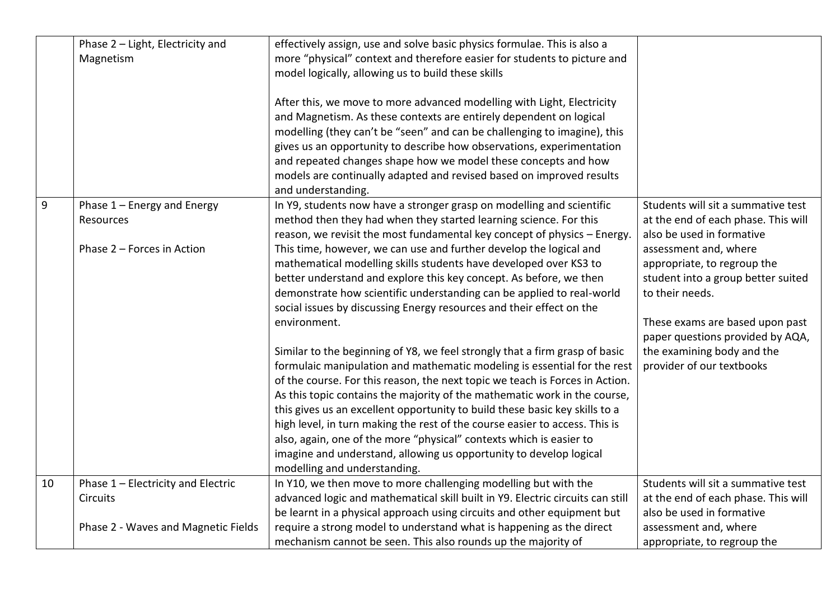|    | Phase 2 - Light, Electricity and<br>Magnetism                          | effectively assign, use and solve basic physics formulae. This is also a<br>more "physical" context and therefore easier for students to picture and<br>model logically, allowing us to build these skills<br>After this, we move to more advanced modelling with Light, Electricity<br>and Magnetism. As these contexts are entirely dependent on logical<br>modelling (they can't be "seen" and can be challenging to imagine), this<br>gives us an opportunity to describe how observations, experimentation<br>and repeated changes shape how we model these concepts and how<br>models are continually adapted and revised based on improved results<br>and understanding.                                                                                                                                                                                                                                                                                                                                                                                                                                                                                                                                                                                             |                                                                                                                                                                                                                                                                                                                                                           |
|----|------------------------------------------------------------------------|-----------------------------------------------------------------------------------------------------------------------------------------------------------------------------------------------------------------------------------------------------------------------------------------------------------------------------------------------------------------------------------------------------------------------------------------------------------------------------------------------------------------------------------------------------------------------------------------------------------------------------------------------------------------------------------------------------------------------------------------------------------------------------------------------------------------------------------------------------------------------------------------------------------------------------------------------------------------------------------------------------------------------------------------------------------------------------------------------------------------------------------------------------------------------------------------------------------------------------------------------------------------------------|-----------------------------------------------------------------------------------------------------------------------------------------------------------------------------------------------------------------------------------------------------------------------------------------------------------------------------------------------------------|
| 9  | Phase 1 - Energy and Energy<br>Resources<br>Phase 2 - Forces in Action | In Y9, students now have a stronger grasp on modelling and scientific<br>method then they had when they started learning science. For this<br>reason, we revisit the most fundamental key concept of physics - Energy.<br>This time, however, we can use and further develop the logical and<br>mathematical modelling skills students have developed over KS3 to<br>better understand and explore this key concept. As before, we then<br>demonstrate how scientific understanding can be applied to real-world<br>social issues by discussing Energy resources and their effect on the<br>environment.<br>Similar to the beginning of Y8, we feel strongly that a firm grasp of basic<br>formulaic manipulation and mathematic modeling is essential for the rest<br>of the course. For this reason, the next topic we teach is Forces in Action.<br>As this topic contains the majority of the mathematic work in the course,<br>this gives us an excellent opportunity to build these basic key skills to a<br>high level, in turn making the rest of the course easier to access. This is<br>also, again, one of the more "physical" contexts which is easier to<br>imagine and understand, allowing us opportunity to develop logical<br>modelling and understanding. | Students will sit a summative test<br>at the end of each phase. This will<br>also be used in formative<br>assessment and, where<br>appropriate, to regroup the<br>student into a group better suited<br>to their needs.<br>These exams are based upon past<br>paper questions provided by AQA,<br>the examining body and the<br>provider of our textbooks |
| 10 | Phase 1 - Electricity and Electric                                     | In Y10, we then move to more challenging modelling but with the                                                                                                                                                                                                                                                                                                                                                                                                                                                                                                                                                                                                                                                                                                                                                                                                                                                                                                                                                                                                                                                                                                                                                                                                             | Students will sit a summative test                                                                                                                                                                                                                                                                                                                        |
|    | <b>Circuits</b>                                                        | advanced logic and mathematical skill built in Y9. Electric circuits can still                                                                                                                                                                                                                                                                                                                                                                                                                                                                                                                                                                                                                                                                                                                                                                                                                                                                                                                                                                                                                                                                                                                                                                                              | at the end of each phase. This will                                                                                                                                                                                                                                                                                                                       |
|    |                                                                        | be learnt in a physical approach using circuits and other equipment but                                                                                                                                                                                                                                                                                                                                                                                                                                                                                                                                                                                                                                                                                                                                                                                                                                                                                                                                                                                                                                                                                                                                                                                                     | also be used in formative                                                                                                                                                                                                                                                                                                                                 |
|    | Phase 2 - Waves and Magnetic Fields                                    | require a strong model to understand what is happening as the direct                                                                                                                                                                                                                                                                                                                                                                                                                                                                                                                                                                                                                                                                                                                                                                                                                                                                                                                                                                                                                                                                                                                                                                                                        | assessment and, where                                                                                                                                                                                                                                                                                                                                     |
|    |                                                                        | mechanism cannot be seen. This also rounds up the majority of                                                                                                                                                                                                                                                                                                                                                                                                                                                                                                                                                                                                                                                                                                                                                                                                                                                                                                                                                                                                                                                                                                                                                                                                               | appropriate, to regroup the                                                                                                                                                                                                                                                                                                                               |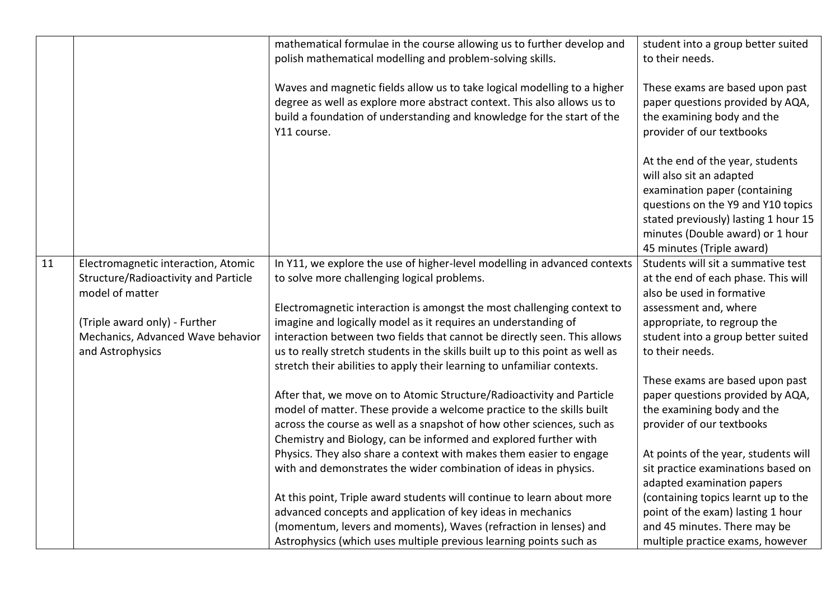|    |                                      | mathematical formulae in the course allowing us to further develop and<br>polish mathematical modelling and problem-solving skills.                                                                                                          | student into a group better suited<br>to their needs.                                                                                                                                                                                        |
|----|--------------------------------------|----------------------------------------------------------------------------------------------------------------------------------------------------------------------------------------------------------------------------------------------|----------------------------------------------------------------------------------------------------------------------------------------------------------------------------------------------------------------------------------------------|
|    |                                      | Waves and magnetic fields allow us to take logical modelling to a higher<br>degree as well as explore more abstract context. This also allows us to<br>build a foundation of understanding and knowledge for the start of the<br>Y11 course. | These exams are based upon past<br>paper questions provided by AQA,<br>the examining body and the<br>provider of our textbooks                                                                                                               |
|    |                                      |                                                                                                                                                                                                                                              | At the end of the year, students<br>will also sit an adapted<br>examination paper (containing<br>questions on the Y9 and Y10 topics<br>stated previously) lasting 1 hour 15<br>minutes (Double award) or 1 hour<br>45 minutes (Triple award) |
| 11 | Electromagnetic interaction, Atomic  | In Y11, we explore the use of higher-level modelling in advanced contexts                                                                                                                                                                    | Students will sit a summative test                                                                                                                                                                                                           |
|    | Structure/Radioactivity and Particle | to solve more challenging logical problems.                                                                                                                                                                                                  | at the end of each phase. This will                                                                                                                                                                                                          |
|    | model of matter                      |                                                                                                                                                                                                                                              | also be used in formative                                                                                                                                                                                                                    |
|    |                                      | Electromagnetic interaction is amongst the most challenging context to                                                                                                                                                                       | assessment and, where                                                                                                                                                                                                                        |
|    | (Triple award only) - Further        | imagine and logically model as it requires an understanding of                                                                                                                                                                               | appropriate, to regroup the                                                                                                                                                                                                                  |
|    | Mechanics, Advanced Wave behavior    | interaction between two fields that cannot be directly seen. This allows                                                                                                                                                                     | student into a group better suited                                                                                                                                                                                                           |
|    | and Astrophysics                     | us to really stretch students in the skills built up to this point as well as                                                                                                                                                                | to their needs.                                                                                                                                                                                                                              |
|    |                                      | stretch their abilities to apply their learning to unfamiliar contexts.                                                                                                                                                                      |                                                                                                                                                                                                                                              |
|    |                                      |                                                                                                                                                                                                                                              | These exams are based upon past                                                                                                                                                                                                              |
|    |                                      | After that, we move on to Atomic Structure/Radioactivity and Particle                                                                                                                                                                        | paper questions provided by AQA,                                                                                                                                                                                                             |
|    |                                      | model of matter. These provide a welcome practice to the skills built                                                                                                                                                                        | the examining body and the<br>provider of our textbooks                                                                                                                                                                                      |
|    |                                      | across the course as well as a snapshot of how other sciences, such as<br>Chemistry and Biology, can be informed and explored further with                                                                                                   |                                                                                                                                                                                                                                              |
|    |                                      | Physics. They also share a context with makes them easier to engage                                                                                                                                                                          | At points of the year, students will                                                                                                                                                                                                         |
|    |                                      | with and demonstrates the wider combination of ideas in physics.                                                                                                                                                                             | sit practice examinations based on                                                                                                                                                                                                           |
|    |                                      |                                                                                                                                                                                                                                              | adapted examination papers                                                                                                                                                                                                                   |
|    |                                      | At this point, Triple award students will continue to learn about more                                                                                                                                                                       | (containing topics learnt up to the                                                                                                                                                                                                          |
|    |                                      | advanced concepts and application of key ideas in mechanics                                                                                                                                                                                  | point of the exam) lasting 1 hour                                                                                                                                                                                                            |
|    |                                      | (momentum, levers and moments), Waves (refraction in lenses) and                                                                                                                                                                             | and 45 minutes. There may be                                                                                                                                                                                                                 |
|    |                                      | Astrophysics (which uses multiple previous learning points such as                                                                                                                                                                           | multiple practice exams, however                                                                                                                                                                                                             |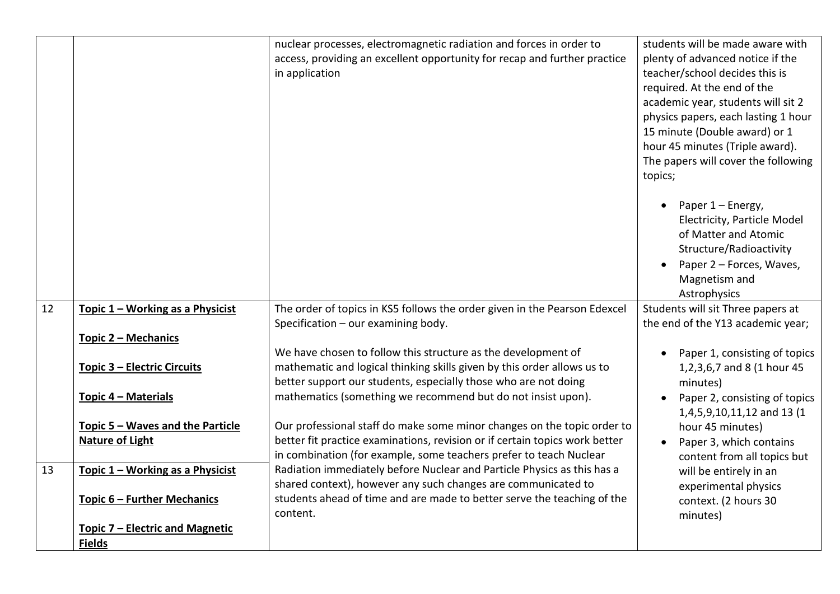|    |                                        | nuclear processes, electromagnetic radiation and forces in order to<br>access, providing an excellent opportunity for recap and further practice<br>in application                                          | students will be made aware with<br>plenty of advanced notice if the<br>teacher/school decides this is<br>required. At the end of the<br>academic year, students will sit 2<br>physics papers, each lasting 1 hour<br>15 minute (Double award) or 1<br>hour 45 minutes (Triple award).<br>The papers will cover the following<br>topics; |
|----|----------------------------------------|-------------------------------------------------------------------------------------------------------------------------------------------------------------------------------------------------------------|------------------------------------------------------------------------------------------------------------------------------------------------------------------------------------------------------------------------------------------------------------------------------------------------------------------------------------------|
|    |                                        |                                                                                                                                                                                                             | Paper 1 – Energy,<br>Electricity, Particle Model<br>of Matter and Atomic<br>Structure/Radioactivity<br>Paper 2 - Forces, Waves,<br>Magnetism and<br>Astrophysics                                                                                                                                                                         |
| 12 | Topic 1 - Working as a Physicist       | The order of topics in KS5 follows the order given in the Pearson Edexcel                                                                                                                                   | Students will sit Three papers at                                                                                                                                                                                                                                                                                                        |
|    |                                        | Specification - our examining body.                                                                                                                                                                         | the end of the Y13 academic year;                                                                                                                                                                                                                                                                                                        |
|    | Topic 2 - Mechanics                    |                                                                                                                                                                                                             |                                                                                                                                                                                                                                                                                                                                          |
|    | <b>Topic 3 - Electric Circuits</b>     | We have chosen to follow this structure as the development of<br>mathematic and logical thinking skills given by this order allows us to<br>better support our students, especially those who are not doing | Paper 1, consisting of topics<br>1,2,3,6,7 and 8 (1 hour 45<br>minutes)                                                                                                                                                                                                                                                                  |
|    | Topic 4 - Materials                    | mathematics (something we recommend but do not insist upon).                                                                                                                                                | Paper 2, consisting of topics                                                                                                                                                                                                                                                                                                            |
|    |                                        |                                                                                                                                                                                                             | 1,4,5,9,10,11,12 and 13 (1                                                                                                                                                                                                                                                                                                               |
|    | Topic 5 - Waves and the Particle       | Our professional staff do make some minor changes on the topic order to                                                                                                                                     | hour 45 minutes)                                                                                                                                                                                                                                                                                                                         |
|    | <b>Nature of Light</b>                 | better fit practice examinations, revision or if certain topics work better                                                                                                                                 | Paper 3, which contains                                                                                                                                                                                                                                                                                                                  |
| 13 | Topic 1 - Working as a Physicist       | in combination (for example, some teachers prefer to teach Nuclear<br>Radiation immediately before Nuclear and Particle Physics as this has a                                                               | content from all topics but                                                                                                                                                                                                                                                                                                              |
|    |                                        | shared context), however any such changes are communicated to                                                                                                                                               | will be entirely in an<br>experimental physics                                                                                                                                                                                                                                                                                           |
|    | Topic 6 - Further Mechanics            | students ahead of time and are made to better serve the teaching of the                                                                                                                                     | context. (2 hours 30                                                                                                                                                                                                                                                                                                                     |
|    |                                        | content.                                                                                                                                                                                                    | minutes)                                                                                                                                                                                                                                                                                                                                 |
|    | <b>Topic 7 - Electric and Magnetic</b> |                                                                                                                                                                                                             |                                                                                                                                                                                                                                                                                                                                          |
|    | <b>Fields</b>                          |                                                                                                                                                                                                             |                                                                                                                                                                                                                                                                                                                                          |